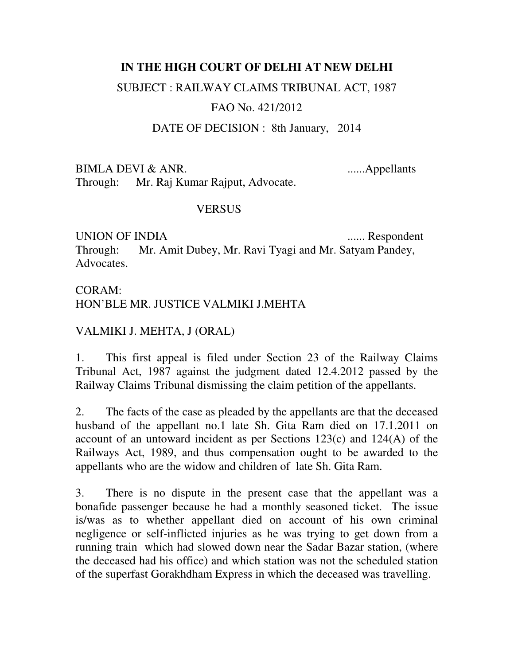### **IN THE HIGH COURT OF DELHI AT NEW DELHI**

### SUBJECT : RAILWAY CLAIMS TRIBUNAL ACT, 1987

# FAO No. 421/2012

### DATE OF DECISION : 8th January, 2014

BIMLA DEVI & ANR. ......Appellants

Through: Mr. Raj Kumar Rajput, Advocate.

### **VERSUS**

UNION OF INDIA ....... Respondent

Through: Mr. Amit Dubey, Mr. Ravi Tyagi and Mr. Satyam Pandey, Advocates.

# CORAM: HON'BLE MR. JUSTICE VALMIKI J.MEHTA

# VALMIKI J. MEHTA, J (ORAL)

1. This first appeal is filed under Section 23 of the Railway Claims Tribunal Act, 1987 against the judgment dated 12.4.2012 passed by the Railway Claims Tribunal dismissing the claim petition of the appellants.

2. The facts of the case as pleaded by the appellants are that the deceased husband of the appellant no.1 late Sh. Gita Ram died on 17.1.2011 on account of an untoward incident as per Sections 123(c) and 124(A) of the Railways Act, 1989, and thus compensation ought to be awarded to the appellants who are the widow and children of late Sh. Gita Ram.

3. There is no dispute in the present case that the appellant was a bonafide passenger because he had a monthly seasoned ticket. The issue is/was as to whether appellant died on account of his own criminal negligence or self-inflicted injuries as he was trying to get down from a running train which had slowed down near the Sadar Bazar station, (where the deceased had his office) and which station was not the scheduled station of the superfast Gorakhdham Express in which the deceased was travelling.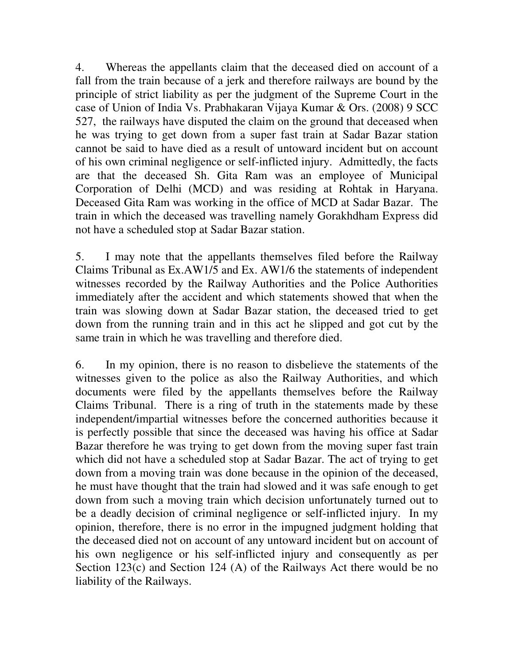4. Whereas the appellants claim that the deceased died on account of a fall from the train because of a jerk and therefore railways are bound by the principle of strict liability as per the judgment of the Supreme Court in the case of Union of India Vs. Prabhakaran Vijaya Kumar & Ors. (2008) 9 SCC 527, the railways have disputed the claim on the ground that deceased when he was trying to get down from a super fast train at Sadar Bazar station cannot be said to have died as a result of untoward incident but on account of his own criminal negligence or self-inflicted injury. Admittedly, the facts are that the deceased Sh. Gita Ram was an employee of Municipal Corporation of Delhi (MCD) and was residing at Rohtak in Haryana. Deceased Gita Ram was working in the office of MCD at Sadar Bazar. The train in which the deceased was travelling namely Gorakhdham Express did not have a scheduled stop at Sadar Bazar station.

5. I may note that the appellants themselves filed before the Railway Claims Tribunal as Ex.AW1/5 and Ex. AW1/6 the statements of independent witnesses recorded by the Railway Authorities and the Police Authorities immediately after the accident and which statements showed that when the train was slowing down at Sadar Bazar station, the deceased tried to get down from the running train and in this act he slipped and got cut by the same train in which he was travelling and therefore died.

6. In my opinion, there is no reason to disbelieve the statements of the witnesses given to the police as also the Railway Authorities, and which documents were filed by the appellants themselves before the Railway Claims Tribunal. There is a ring of truth in the statements made by these independent/impartial witnesses before the concerned authorities because it is perfectly possible that since the deceased was having his office at Sadar Bazar therefore he was trying to get down from the moving super fast train which did not have a scheduled stop at Sadar Bazar. The act of trying to get down from a moving train was done because in the opinion of the deceased, he must have thought that the train had slowed and it was safe enough to get down from such a moving train which decision unfortunately turned out to be a deadly decision of criminal negligence or self-inflicted injury. In my opinion, therefore, there is no error in the impugned judgment holding that the deceased died not on account of any untoward incident but on account of his own negligence or his self-inflicted injury and consequently as per Section 123(c) and Section 124 (A) of the Railways Act there would be no liability of the Railways.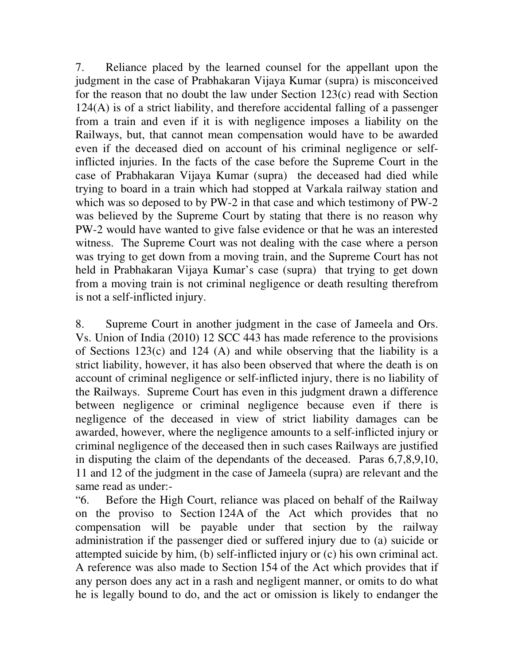7. Reliance placed by the learned counsel for the appellant upon the judgment in the case of Prabhakaran Vijaya Kumar (supra) is misconceived for the reason that no doubt the law under Section 123(c) read with Section 124(A) is of a strict liability, and therefore accidental falling of a passenger from a train and even if it is with negligence imposes a liability on the Railways, but, that cannot mean compensation would have to be awarded even if the deceased died on account of his criminal negligence or selfinflicted injuries. In the facts of the case before the Supreme Court in the case of Prabhakaran Vijaya Kumar (supra) the deceased had died while trying to board in a train which had stopped at Varkala railway station and which was so deposed to by PW-2 in that case and which testimony of PW-2 was believed by the Supreme Court by stating that there is no reason why PW-2 would have wanted to give false evidence or that he was an interested witness. The Supreme Court was not dealing with the case where a person was trying to get down from a moving train, and the Supreme Court has not held in Prabhakaran Vijaya Kumar's case (supra) that trying to get down from a moving train is not criminal negligence or death resulting therefrom is not a self-inflicted injury.

8. Supreme Court in another judgment in the case of Jameela and Ors. Vs. Union of India (2010) 12 SCC 443 has made reference to the provisions of Sections 123(c) and 124 (A) and while observing that the liability is a strict liability, however, it has also been observed that where the death is on account of criminal negligence or self-inflicted injury, there is no liability of the Railways. Supreme Court has even in this judgment drawn a difference between negligence or criminal negligence because even if there is negligence of the deceased in view of strict liability damages can be awarded, however, where the negligence amounts to a self-inflicted injury or criminal negligence of the deceased then in such cases Railways are justified in disputing the claim of the dependants of the deceased. Paras 6,7,8,9,10, 11 and 12 of the judgment in the case of Jameela (supra) are relevant and the same read as under:-

"6. Before the High Court, reliance was placed on behalf of the Railway on the proviso to Section 124A of the Act which provides that no compensation will be payable under that section by the railway administration if the passenger died or suffered injury due to (a) suicide or attempted suicide by him, (b) self-inflicted injury or (c) his own criminal act. A reference was also made to Section 154 of the Act which provides that if any person does any act in a rash and negligent manner, or omits to do what he is legally bound to do, and the act or omission is likely to endanger the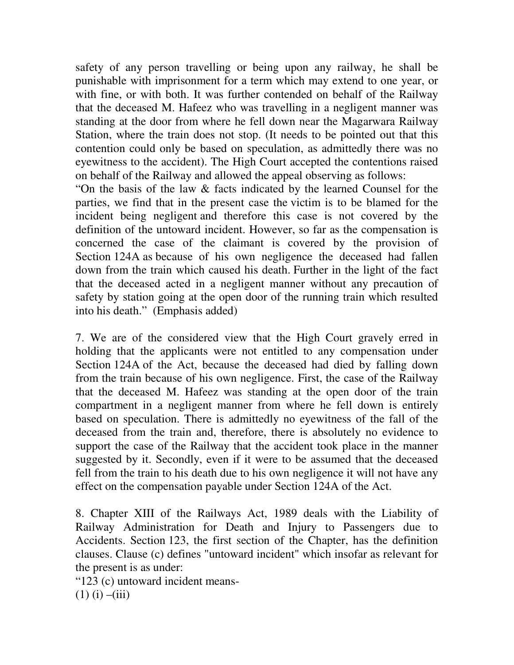safety of any person travelling or being upon any railway, he shall be punishable with imprisonment for a term which may extend to one year, or with fine, or with both. It was further contended on behalf of the Railway that the deceased M. Hafeez who was travelling in a negligent manner was standing at the door from where he fell down near the Magarwara Railway Station, where the train does not stop. (It needs to be pointed out that this contention could only be based on speculation, as admittedly there was no eyewitness to the accident). The High Court accepted the contentions raised on behalf of the Railway and allowed the appeal observing as follows:

"On the basis of the law & facts indicated by the learned Counsel for the parties, we find that in the present case the victim is to be blamed for the incident being negligent and therefore this case is not covered by the definition of the untoward incident. However, so far as the compensation is concerned the case of the claimant is covered by the provision of Section 124A as because of his own negligence the deceased had fallen down from the train which caused his death. Further in the light of the fact that the deceased acted in a negligent manner without any precaution of safety by station going at the open door of the running train which resulted into his death." (Emphasis added)

7. We are of the considered view that the High Court gravely erred in holding that the applicants were not entitled to any compensation under Section 124A of the Act, because the deceased had died by falling down from the train because of his own negligence. First, the case of the Railway that the deceased M. Hafeez was standing at the open door of the train compartment in a negligent manner from where he fell down is entirely based on speculation. There is admittedly no eyewitness of the fall of the deceased from the train and, therefore, there is absolutely no evidence to support the case of the Railway that the accident took place in the manner suggested by it. Secondly, even if it were to be assumed that the deceased fell from the train to his death due to his own negligence it will not have any effect on the compensation payable under Section 124A of the Act.

8. Chapter XIII of the Railways Act, 1989 deals with the Liability of Railway Administration for Death and Injury to Passengers due to Accidents. Section 123, the first section of the Chapter, has the definition clauses. Clause (c) defines "untoward incident" which insofar as relevant for the present is as under:

"123 (c) untoward incident means-  $(1)$  (i)  $-(iii)$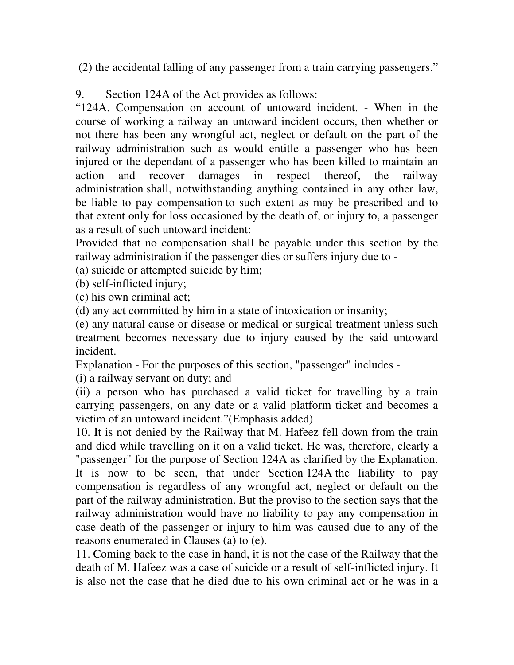(2) the accidental falling of any passenger from a train carrying passengers."

9. Section 124A of the Act provides as follows:

"124A. Compensation on account of untoward incident. - When in the course of working a railway an untoward incident occurs, then whether or not there has been any wrongful act, neglect or default on the part of the railway administration such as would entitle a passenger who has been injured or the dependant of a passenger who has been killed to maintain an action and recover damages in respect thereof, the railway administration shall, notwithstanding anything contained in any other law, be liable to pay compensation to such extent as may be prescribed and to that extent only for loss occasioned by the death of, or injury to, a passenger as a result of such untoward incident:

Provided that no compensation shall be payable under this section by the railway administration if the passenger dies or suffers injury due to -

(a) suicide or attempted suicide by him;

(b) self-inflicted injury;

(c) his own criminal act;

(d) any act committed by him in a state of intoxication or insanity;

(e) any natural cause or disease or medical or surgical treatment unless such treatment becomes necessary due to injury caused by the said untoward incident.

Explanation - For the purposes of this section, "passenger" includes -

(i) a railway servant on duty; and

(ii) a person who has purchased a valid ticket for travelling by a train carrying passengers, on any date or a valid platform ticket and becomes a victim of an untoward incident."(Emphasis added)

10. It is not denied by the Railway that M. Hafeez fell down from the train and died while travelling on it on a valid ticket. He was, therefore, clearly a "passenger" for the purpose of Section 124A as clarified by the Explanation. It is now to be seen, that under Section 124A the liability to pay compensation is regardless of any wrongful act, neglect or default on the part of the railway administration. But the proviso to the section says that the railway administration would have no liability to pay any compensation in case death of the passenger or injury to him was caused due to any of the reasons enumerated in Clauses (a) to (e).

11. Coming back to the case in hand, it is not the case of the Railway that the death of M. Hafeez was a case of suicide or a result of self-inflicted injury. It is also not the case that he died due to his own criminal act or he was in a